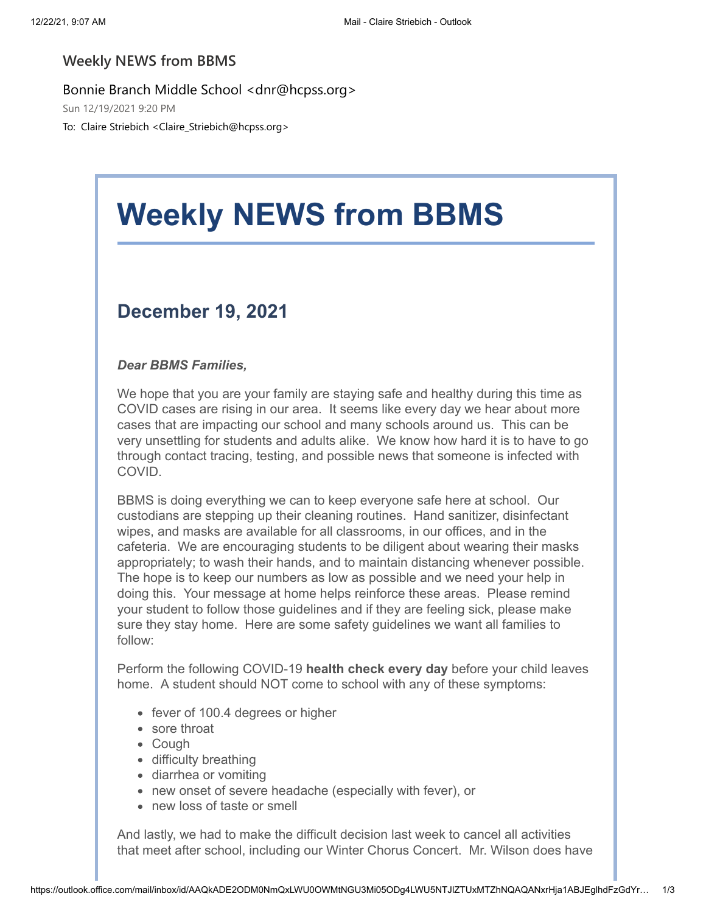#### **Weekly NEWS from BBMS**

Bonnie Branch Middle School <dnr@hcpss.org> Sun 12/19/2021 9:20 PM

To: Claire Striebich <Claire\_Striebich@hcpss.org>

# **Weekly NEWS from BBMS**

## **December 19, 2021**

#### *Dear BBMS Families,*

We hope that you are your family are staying safe and healthy during this time as COVID cases are rising in our area. It seems like every day we hear about more cases that are impacting our school and many schools around us. This can be very unsettling for students and adults alike. We know how hard it is to have to go through contact tracing, testing, and possible news that someone is infected with COVID.

BBMS is doing everything we can to keep everyone safe here at school. Our custodians are stepping up their cleaning routines. Hand sanitizer, disinfectant wipes, and masks are available for all classrooms, in our offices, and in the cafeteria. We are encouraging students to be diligent about wearing their masks appropriately; to wash their hands, and to maintain distancing whenever possible. The hope is to keep our numbers as low as possible and we need your help in doing this. Your message at home helps reinforce these areas. Please remind your student to follow those guidelines and if they are feeling sick, please make sure they stay home. Here are some safety guidelines we want all families to follow:

Perform the following COVID-19 **health check every day** before your child leaves home. A student should NOT come to school with any of these symptoms:

- fever of 100.4 degrees or higher
- sore throat
- Cough
- difficulty breathing
- diarrhea or vomiting
- new onset of severe headache (especially with fever), or
- new loss of taste or smell

And lastly, we had to make the difficult decision last week to cancel all activities that meet after school, including our Winter Chorus Concert. Mr. Wilson does have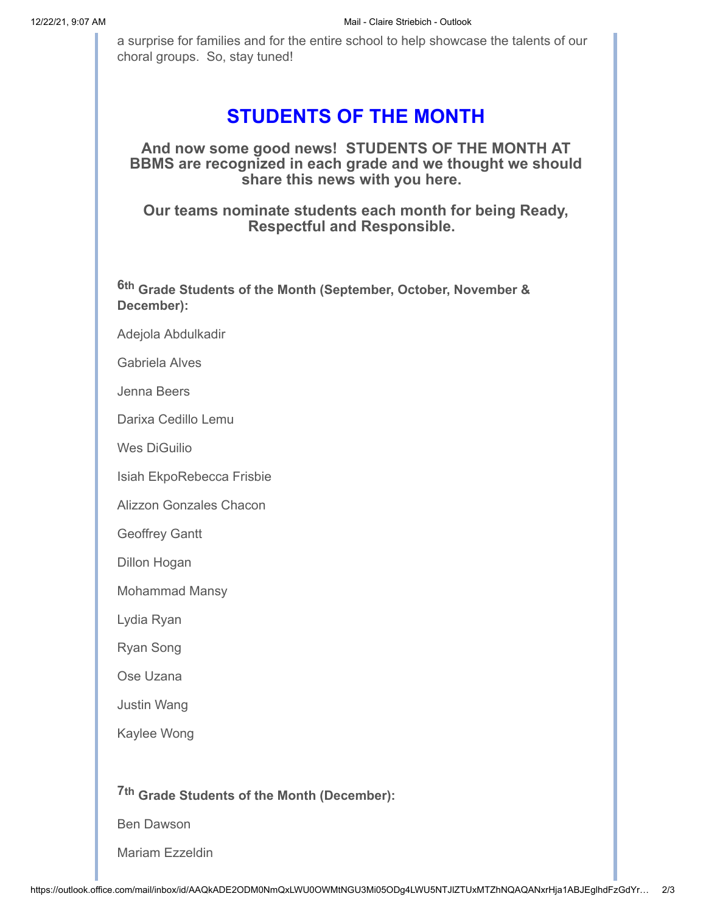a surprise for families and for the entire school to help showcase the talents of our choral groups. So, stay tuned!

### **STUDENTS OF THE MONTH**

**And now some good news! STUDENTS OF THE MONTH AT BBMS are recognized in each grade and we thought we should share this news with you here.**

**Our teams nominate students each month for being Ready, Respectful and Responsible.**

**6th Grade Students of the Month (September, October, November & December):**

Adejola Abdulkadir

Gabriela Alves

Jenna Beers

Darixa Cedillo Lemu

Wes DiGuilio

Isiah EkpoRebecca Frisbie

Alizzon Gonzales Chacon

Geoffrey Gantt

Dillon Hogan

Mohammad Mansy

Lydia Ryan

Ryan Song

Ose Uzana

Justin Wang

Kaylee Wong

**7th Grade Students of the Month (December):**

Ben Dawson

Mariam Ezzeldin